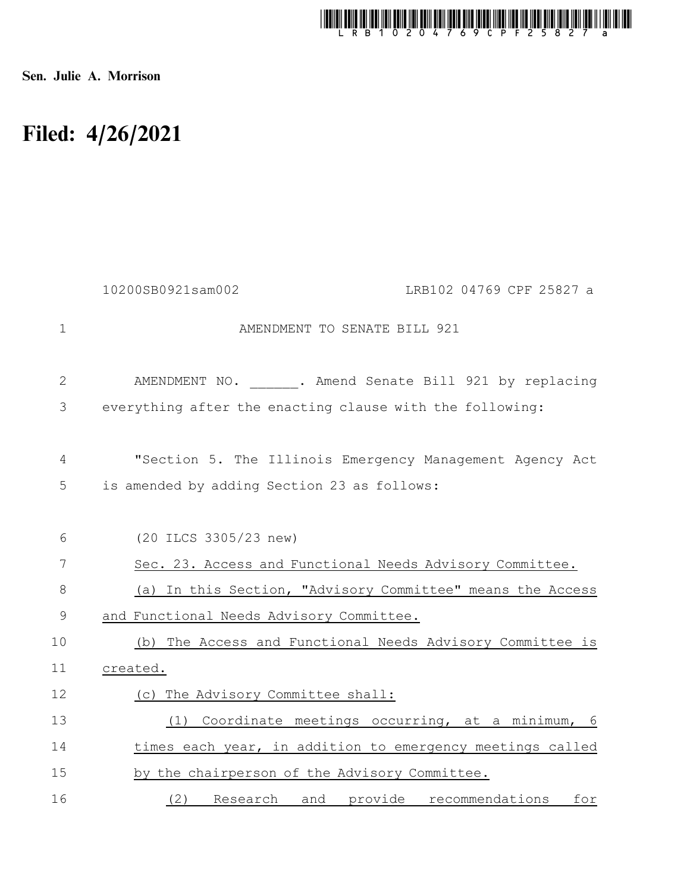

Sen. Julie A. Morrison

## Filed: 4/26/2021

|              | 10200SB0921sam002<br>LRB102 04769 CPF 25827 a                                                           |
|--------------|---------------------------------------------------------------------------------------------------------|
| $\mathbf{1}$ | AMENDMENT TO SENATE BILL 921                                                                            |
| $\mathbf{2}$ | AMENDMENT NO. . Amend Senate Bill 921 by replacing                                                      |
| 3            | everything after the enacting clause with the following:                                                |
| 4<br>5       | "Section 5. The Illinois Emergency Management Agency Act<br>is amended by adding Section 23 as follows: |
| 6            | (20 ILCS 3305/23 new)                                                                                   |
| 7            | Sec. 23. Access and Functional Needs Advisory Committee.                                                |
| 8            | (a) In this Section, "Advisory Committee" means the Access                                              |
| 9            | and Functional Needs Advisory Committee.                                                                |
| 10           | (b) The Access and Functional Needs Advisory Committee is                                               |
| 11           | created.                                                                                                |
| 12           | (c) The Advisory Committee shall:                                                                       |
| 13           | Coordinate meetings occurring, at a minimum, 6<br>(1)                                                   |
| 14           | times each year, in addition to emergency meetings called                                               |
| 15           | by the chairperson of the Advisory Committee.                                                           |
| 16           | (2) Research and provide recommendations<br>for                                                         |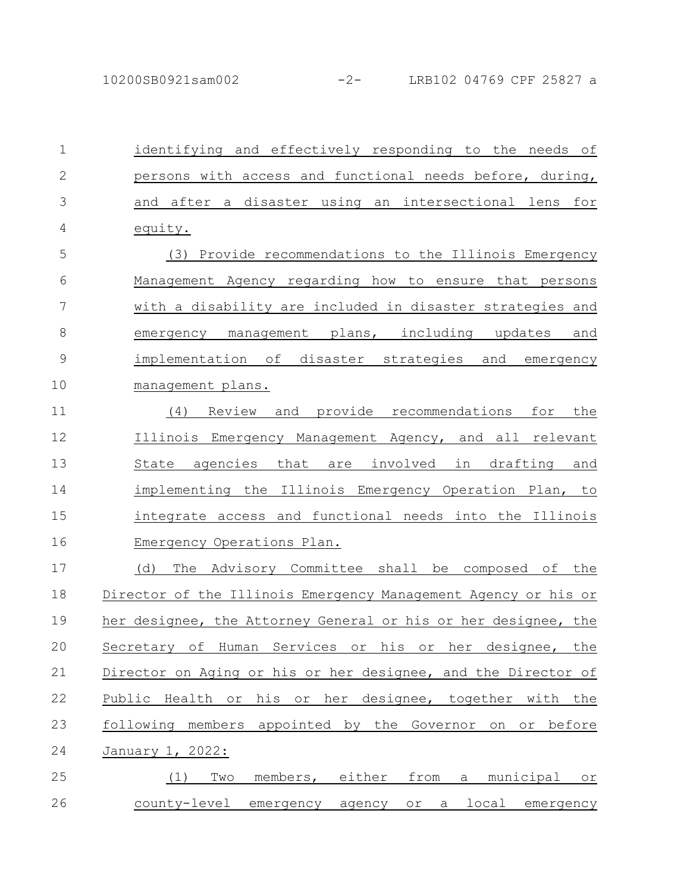identifying and effectively responding to the needs of persons with access and functional needs before, during, and after a disaster using an intersectional lens for equity. (3) Provide recommendations to the Illinois Emergency Management Agency regarding how to ensure that persons with a disability are included in disaster strategies and emergency management plans, including updates and implementation of disaster strategies and emergency management plans. (4) Review and provide recommendations for the Illinois Emergency Management Agency, and all relevant State agencies that are involved in drafting and implementing the Illinois Emergency Operation Plan, to integrate access and functional needs into the Illinois Emergency Operations Plan. (d) The Advisory Committee shall be composed of the Director of the Illinois Emergency Management Agency or his or her designee, the Attorney General or his or her designee, the Secretary of Human Services or his or her designee, the Director on Aging or his or her designee, and the Director of Public Health or his or her designee, together with the following members appointed by the Governor on or before January 1, 2022: (1) Two members, either from a municipal or county-level emergency agency or a local emergency 1 2 3 4 5 6 7 8 9 10 11 12 13 14 15 16 17 18 19 20 21 22 23 24 25 26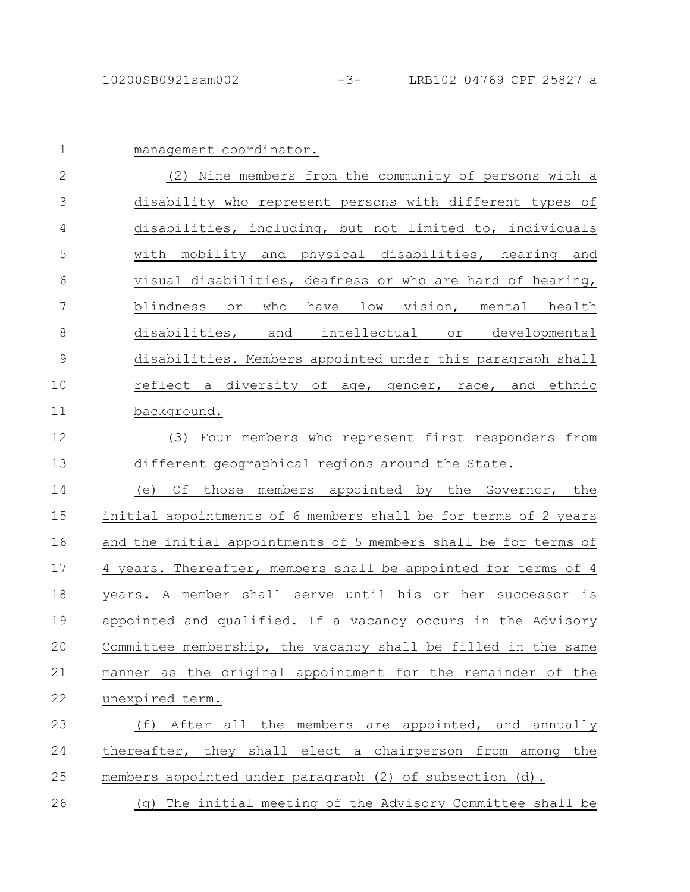| $\mathbf 1$   | management coordinator.                                         |
|---------------|-----------------------------------------------------------------|
| $\mathbf{2}$  | (2) Nine members from the community of persons with a           |
| 3             | disability who represent persons with different types of        |
| 4             | disabilities, including, but not limited to, individuals        |
| 5             | with mobility and physical disabilities, hearing and            |
| 6             | visual disabilities, deafness or who are hard of hearing,       |
| 7             | blindness or<br>have low vision, mental health<br>who           |
| 8             | disabilities, and intellectual or developmental                 |
| $\mathcal{G}$ | disabilities. Members appointed under this paragraph shall      |
| 10            | reflect a diversity of age, gender, race, and ethnic            |
| 11            | background.                                                     |
| 12            | Four members who represent first responders from<br>(3)         |
| 13            | different geographical regions around the State.                |
| 14            | Οf<br>those members appointed by the Governor, the<br>(e)       |
| 15            | initial appointments of 6 members shall be for terms of 2 years |
| 16            | and the initial appointments of 5 members shall be for terms of |
| 17            | 4 years. Thereafter, members shall be appointed for terms of 4  |
| 18            | years. A member shall serve until his or her successor is       |
| 19            | appointed and qualified. If a vacancy occurs in the Advisory    |
| 20            | Committee membership, the vacancy shall be filled in the same   |
| 21            | manner as the original appointment for the remainder of the     |
| 22            | unexpired term.                                                 |
| 23            | (f) After all the members are appointed, and annually           |
| 24            | thereafter, they shall elect a chairperson from among the       |
| 25            | members appointed under paragraph (2) of subsection (d).        |
| 26            | (q) The initial meeting of the Advisory Committee shall be      |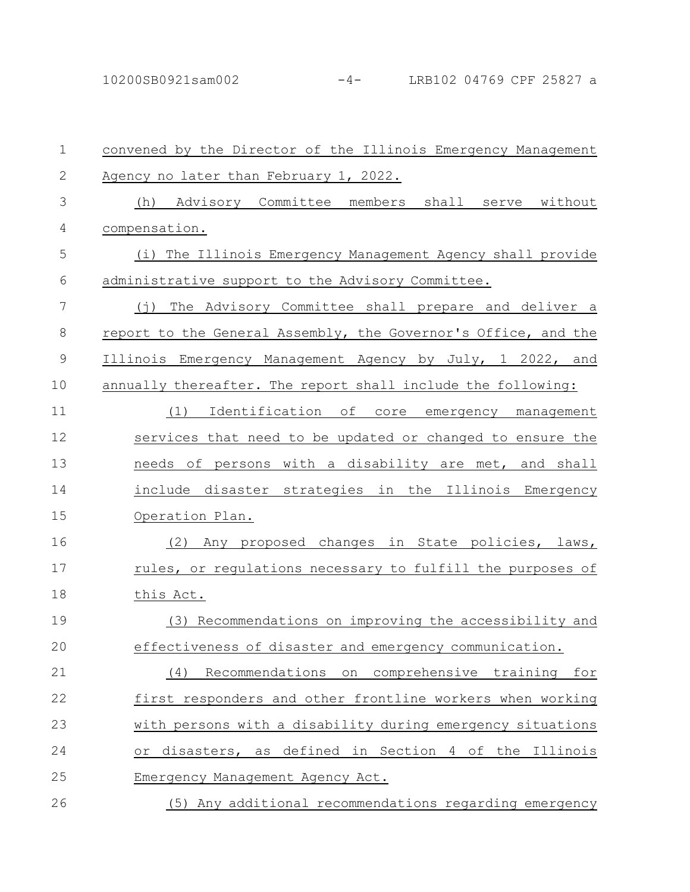| $\mathbf 1$   | convened by the Director of the Illinois Emergency Management     |
|---------------|-------------------------------------------------------------------|
| $\mathbf{2}$  | Agency no later than February 1, 2022.                            |
| 3             | (h) Advisory Committee members shall serve without                |
| 4             | compensation.                                                     |
| 5             | (i) The Illinois Emergency Management Agency shall provide        |
| 6             | administrative support to the Advisory Committee.                 |
| 7             | The Advisory Committee shall prepare and deliver a<br>$(\dagger)$ |
| 8             | report to the General Assembly, the Governor's Office, and the    |
| $\mathcal{G}$ | Illinois Emergency Management Agency by July, 1 2022, and         |
| 10            | annually thereafter. The report shall include the following:      |
| 11            | Identification of<br>(1)<br>core emergency management             |
| 12            | services that need to be updated or changed to ensure the         |
| 13            | needs of persons with a disability are met, and shall             |
| 14            | include disaster strategies in the Illinois Emergency             |
| 15            | Operation Plan.                                                   |
| 16            | (2)<br>Any proposed changes in State policies, laws,              |
| 17            | rules, or regulations necessary to fulfill the purposes of        |
| 18            | this Act.                                                         |
| 19            | Recommendations on improving the accessibility and<br>(3)         |
| 20            | effectiveness of disaster and emergency communication.            |
| 21            | Recommendations<br>comprehensive training<br>on<br>for<br>(4)     |
| 22            | first responders and other frontline workers when working         |
| 23            | with persons with a disability during emergency situations        |
| 24            | disasters, as defined in Section 4 of the Illinois<br>$\circ$ r   |
| 25            | Emergency Management Agency Act.                                  |
| 26            | (5) Any additional recommendations regarding emergency            |